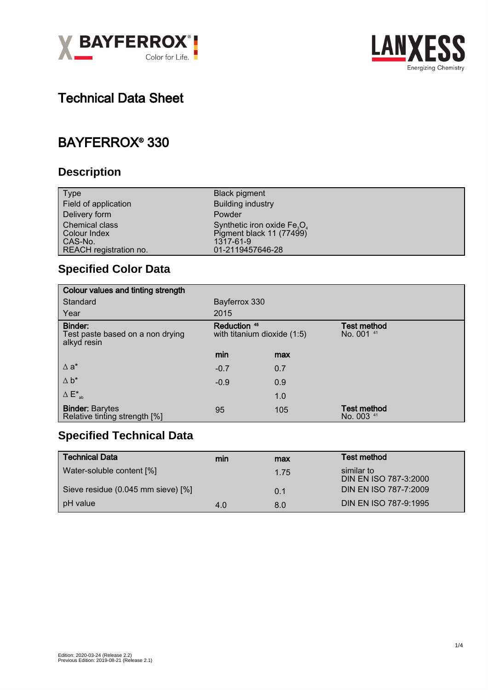



# Technical Data Sheet

## BAYFERROX® 330

#### **Description**

| <b>Type</b>            | <b>Black pigment</b>           |
|------------------------|--------------------------------|
| Field of application   | <b>Building industry</b>       |
| Delivery form          | Powder                         |
| <b>Chemical class</b>  | Synthetic iron oxide $Fe_3O_4$ |
| Colour Index           | Pigment black 11 (77499)       |
| CAS-No.                | 1317-61-9                      |
| REACH registration no. | 01-2119457646-28               |

## **Specified Color Data**

| Colour values and tinting strength                         |                                                        |     |                                  |
|------------------------------------------------------------|--------------------------------------------------------|-----|----------------------------------|
| Standard                                                   | Bayferrox 330                                          |     |                                  |
| Year                                                       | 2015                                                   |     |                                  |
| Binder:<br>Test paste based on a non drying<br>alkyd resin | Reduction <sup>45</sup><br>with titanium dioxide (1:5) |     | <b>Test method</b><br>No. 001 41 |
|                                                            | min                                                    | max |                                  |
| $\Delta$ a <sup>*</sup>                                    | $-0.7$                                                 | 0.7 |                                  |
| $\Delta b^*$                                               | $-0.9$                                                 | 0.9 |                                  |
| $\Delta E^*_{ab}$                                          |                                                        | 1.0 |                                  |
| <b>Binder: Barytes</b><br>Relative tinting strength [%]    | 95                                                     | 105 | <b>Test method</b><br>No. 003 41 |

### **Specified Technical Data**

| Technical Data                     | min | max  | Test method                         |
|------------------------------------|-----|------|-------------------------------------|
| Water-soluble content [%]          |     | 1.75 | similar to<br>DIN EN ISO 787-3:2000 |
| Sieve residue (0.045 mm sieve) [%] |     | 0.1  | DIN EN ISO 787-7:2009               |
| pH value                           | 4.0 | 8.0  | DIN EN ISO 787-9:1995               |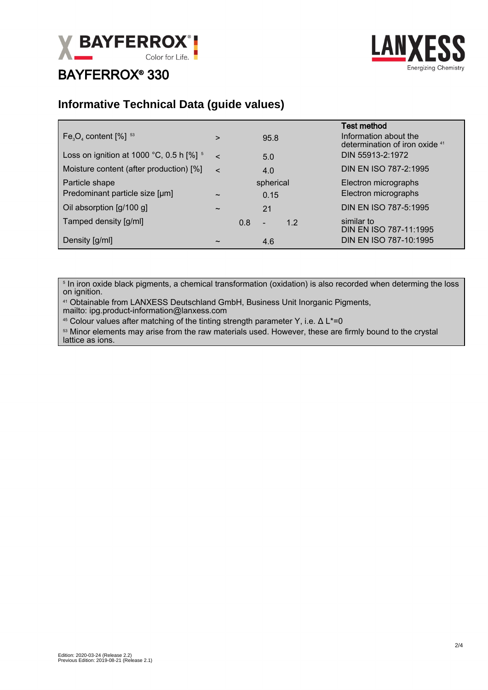

## BAYFERROX® 330



#### **Informative Technical Data (guide values)**

| $Fe3O4$ content $[%]$ <sup>53</sup>              | >                     |                   | 95.8                     |     | <b>Test method</b><br>Information about the<br>determination of iron oxide 41 |
|--------------------------------------------------|-----------------------|-------------------|--------------------------|-----|-------------------------------------------------------------------------------|
| Loss on ignition at 1000 °C, 0.5 h $[%]$ 5       | $\epsilon$            | 5.0               |                          |     | DIN 55913-2:1972                                                              |
| Moisture content (after production) [%]          | $\epsilon$            |                   | 4.0                      |     | DIN EN ISO 787-2:1995                                                         |
| Particle shape<br>Predominant particle size [µm] | $\tilde{\phantom{a}}$ | spherical<br>0.15 |                          |     | Electron micrographs<br>Electron micrographs                                  |
| Oil absorption [g/100 g]                         | $\tilde{\phantom{a}}$ |                   | 21                       |     | DIN EN ISO 787-5:1995                                                         |
| Tamped density [g/ml]                            |                       | 0.8               | $\overline{\phantom{a}}$ | 1.2 | similar to<br>DIN EN ISO 787-11:1995                                          |
| Density [g/ml]                                   | $\tilde{\phantom{a}}$ |                   | 4.6                      |     | DIN EN ISO 787-10:1995                                                        |

 $^{\circ}$  In iron oxide black pigments, a chemical transformation (oxidation) is also recorded when determing the loss on ignition.

<sup>41</sup> Obtainable from LANXESS Deutschland GmbH, Business Unit Inorganic Pigments, mailto: ipg.product-information@lanxess.com

<sup>45</sup> Colour values after matching of the tinting strength parameter Y, i.e. Δ L\*=0

53 Minor elements may arise from the raw materials used. However, these are firmly bound to the crystal lattice as ions.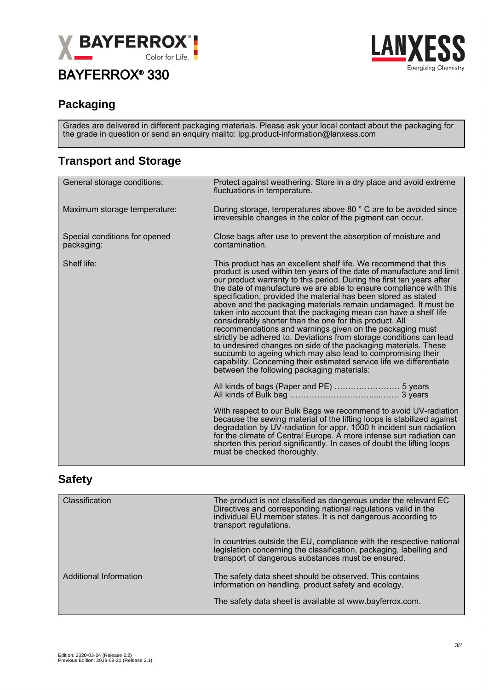

## BAYFERROX® 330



#### **Packaging**

Grades are delivered in different packaging materials. Please ask your local contact about the packaging for the grade in question or send an enquiry mailto: ipg.product-information@lanxess.com

#### **Transport and Storage**

| General storage conditions:                 | Protect against weathering. Store in a dry place and avoid extreme<br>fluctuations in temperature.                                                                                                                                                                                                                                                                                                                                                                                                                                                                                                                                                                                                                                                                                                                                                                                                                                                    |  |
|---------------------------------------------|-------------------------------------------------------------------------------------------------------------------------------------------------------------------------------------------------------------------------------------------------------------------------------------------------------------------------------------------------------------------------------------------------------------------------------------------------------------------------------------------------------------------------------------------------------------------------------------------------------------------------------------------------------------------------------------------------------------------------------------------------------------------------------------------------------------------------------------------------------------------------------------------------------------------------------------------------------|--|
| Maximum storage temperature:                | During storage, temperatures above 80 ° C are to be avoided since<br>irreversible changes in the color of the pigment can occur.                                                                                                                                                                                                                                                                                                                                                                                                                                                                                                                                                                                                                                                                                                                                                                                                                      |  |
| Special conditions for opened<br>packaging: | Close bags after use to prevent the absorption of moisture and<br>contamination.                                                                                                                                                                                                                                                                                                                                                                                                                                                                                                                                                                                                                                                                                                                                                                                                                                                                      |  |
| Shelf life:                                 | This product has an excellent shelf life. We recommend that this<br>product is used within ten years of the date of manufacture and limit<br>our product warranty to this period. During the first ten years after<br>the date of manufacture we are able to ensure compliance with this<br>specification, provided the material has been stored as stated<br>above and the packaging materials remain undamaged. It must be<br>taken into account that the packaging mean can have a shelf life<br>considerably shorter than the one for this product. All<br>recommendations and warnings given on the packaging must<br>strictly be adhered to. Deviations from storage conditions can lead<br>to undesired changes on side of the packaging materials. These<br>succumb to ageing which may also lead to compromising their<br>capability. Concerning their estimated service life we differentiate<br>between the following packaging materials: |  |
|                                             |                                                                                                                                                                                                                                                                                                                                                                                                                                                                                                                                                                                                                                                                                                                                                                                                                                                                                                                                                       |  |
|                                             | With respect to our Bulk Bags we recommend to avoid UV-radiation<br>because the sewing material of the lifting loops is stabilized against<br>degradation by UV-radiation for appr. 1000 h incident sun radiation<br>for the climate of Central Europe. A more intense sun radiation can<br>shorten this period significantly. In cases of doubt the lifting loops<br>must be checked thoroughly.                                                                                                                                                                                                                                                                                                                                                                                                                                                                                                                                                     |  |

#### **Safety**

| Classification         | The product is not classified as dangerous under the relevant EC<br>Directives and corresponding national regulations valid in the<br>individual EU member states. It is not dangerous according to<br>transport regulations. |  |  |
|------------------------|-------------------------------------------------------------------------------------------------------------------------------------------------------------------------------------------------------------------------------|--|--|
|                        | In countries outside the EU, compliance with the respective national<br>legislation concerning the classification, packaging, labelling and<br>transport of dangerous substances must be ensured.                             |  |  |
| Additional Information | The safety data sheet should be observed. This contains<br>information on handling, product safety and ecology.                                                                                                               |  |  |
|                        | The safety data sheet is available at www.bayferrox.com.                                                                                                                                                                      |  |  |